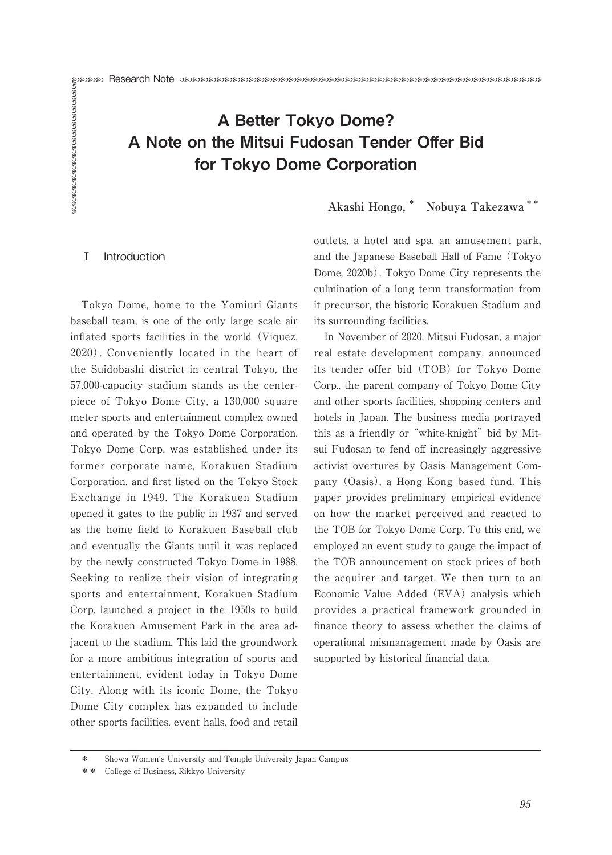# Research Note A Better Tokyo Dome? A Note on the Mitsui Fudosan Tender Offer Bid for Tokyo Dome Corporation

# **Akashi Hongo,\* Nobuya Takezawa \*\***

# Ⅰ Introduction

Tokyo Dome, home to the Yomiuri Giants baseball team, is one of the only large scale air inflated sports facilities in the world (Viquez, 2020). Conveniently located in the heart of the Suidobashi district in central Tokyo, the 57,000-capacity stadium stands as the centerpiece of Tokyo Dome City, a 130,000 square meter sports and entertainment complex owned and operated by the Tokyo Dome Corporation. Tokyo Dome Corp. was established under its former corporate name, Korakuen Stadium Corporation, and first listed on the Tokyo Stock Exchange in 1949. The Korakuen Stadium opened it gates to the public in 1937 and served as the home field to Korakuen Baseball club and eventually the Giants until it was replaced by the newly constructed Tokyo Dome in 1988. Seeking to realize their vision of integrating sports and entertainment, Korakuen Stadium Corp. launched a project in the 1950s to build the Korakuen Amusement Park in the area adjacent to the stadium. This laid the groundwork for a more ambitious integration of sports and entertainment, evident today in Tokyo Dome City. Along with its iconic Dome, the Tokyo Dome City complex has expanded to include other sports facilities, event halls, food and retail

outlets, a hotel and spa, an amusement park, and the Japanese Baseball Hall of Fame (Tokyo Dome, 2020b). Tokyo Dome City represents the culmination of a long term transformation from it precursor, the historic Korakuen Stadium and its surrounding facilities.

In November of 2020, Mitsui Fudosan, a major real estate development company, announced its tender offer bid (TOB) for Tokyo Dome Corp., the parent company of Tokyo Dome City and other sports facilities, shopping centers and hotels in Japan. The business media portrayed this as a friendly or "white-knight" bid by Mitsui Fudosan to fend off increasingly aggressive activist overtures by Oasis Management Company (Oasis), a Hong Kong based fund. This paper provides preliminary empirical evidence on how the market perceived and reacted to the TOB for Tokyo Dome Corp. To this end, we employed an event study to gauge the impact of the TOB announcement on stock prices of both the acquirer and target. We then turn to an Economic Value Added (EVA) analysis which provides a practical framework grounded in finance theory to assess whether the claims of operational mismanagement made by Oasis are supported by historical financial data.

<sup>\*</sup> Showa Womeńs University and Temple University Japan Campus

<sup>\*\*</sup> College of Business, Rikkyo University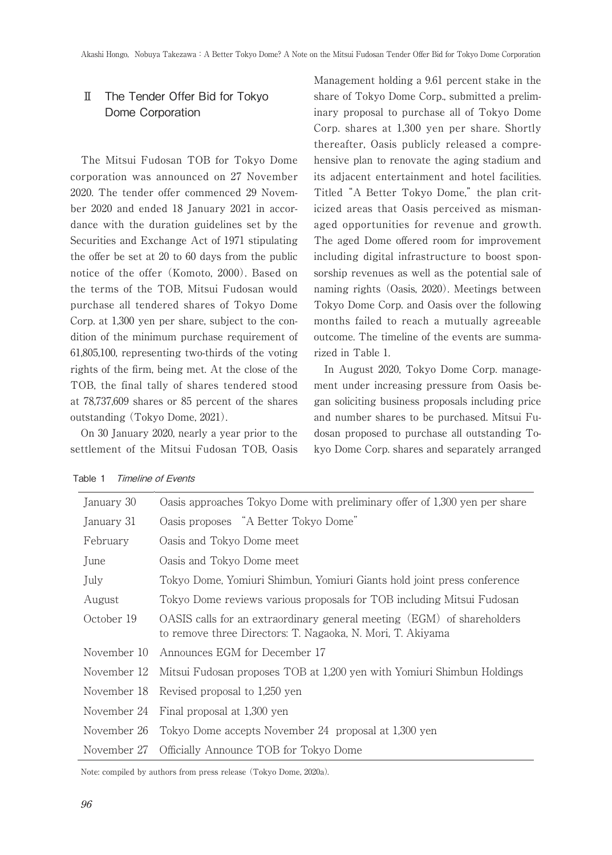# Ⅱ The Tender Offer Bid for Tokyo Dome Corporation

The Mitsui Fudosan TOB for Tokyo Dome corporation was announced on 27 November 2020. The tender offer commenced 29 November 2020 and ended 18 January 2021 in accordance with the duration guidelines set by the Securities and Exchange Act of 1971 stipulating the offer be set at 20 to 60 days from the public notice of the offer (Komoto, 2000). Based on the terms of the TOB, Mitsui Fudosan would purchase all tendered shares of Tokyo Dome Corp. at 1,300 yen per share, subject to the condition of the minimum purchase requirement of 61,805,100, representing two-thirds of the voting rights of the firm, being met. At the close of the TOB, the final tally of shares tendered stood at 78,737,609 shares or 85 percent of the shares outstanding (Tokyo Dome, 2021).

On 30 January 2020, nearly a year prior to the settlement of the Mitsui Fudosan TOB, Oasis Management holding a 9.61 percent stake in the share of Tokyo Dome Corp., submitted a preliminary proposal to purchase all of Tokyo Dome Corp. shares at 1,300 yen per share. Shortly thereafter, Oasis publicly released a comprehensive plan to renovate the aging stadium and its adjacent entertainment and hotel facilities. Titled "A Better Tokyo Dome," the plan criticized areas that Oasis perceived as mismanaged opportunities for revenue and growth. The aged Dome offered room for improvement including digital infrastructure to boost sponsorship revenues as well as the potential sale of naming rights (Oasis, 2020). Meetings between Tokyo Dome Corp. and Oasis over the following months failed to reach a mutually agreeable outcome. The timeline of the events are summarized in Table 1.

In August 2020, Tokyo Dome Corp. management under increasing pressure from Oasis began soliciting business proposals including price and number shares to be purchased. Mitsui Fudosan proposed to purchase all outstanding Tokyo Dome Corp. shares and separately arranged

| January 30  | Oasis approaches Tokyo Dome with preliminary offer of 1,300 yen per share                                                            |  |  |  |
|-------------|--------------------------------------------------------------------------------------------------------------------------------------|--|--|--|
| January 31  | Oasis proposes "A Better Tokyo Dome"                                                                                                 |  |  |  |
| February    | Oasis and Tokyo Dome meet                                                                                                            |  |  |  |
| June        | Oasis and Tokyo Dome meet                                                                                                            |  |  |  |
| July        | Tokyo Dome, Yomiuri Shimbun, Yomiuri Giants hold joint press conference                                                              |  |  |  |
| August      | Tokyo Dome reviews various proposals for TOB including Mitsui Fudosan                                                                |  |  |  |
| October 19  | OASIS calls for an extraordinary general meeting (EGM) of shareholders<br>to remove three Directors: T. Nagaoka, N. Mori, T. Akiyama |  |  |  |
| November 10 | Announces EGM for December 17                                                                                                        |  |  |  |
|             | November 12 Mitsui Fudosan proposes TOB at 1,200 yen with Yomiuri Shimbun Holdings                                                   |  |  |  |
|             | November 18 Revised proposal to 1,250 yen                                                                                            |  |  |  |
|             | November 24 Final proposal at 1,300 yen                                                                                              |  |  |  |
|             | November 26 Tokyo Dome accepts November 24 proposal at 1,300 yen                                                                     |  |  |  |
| November 27 | Officially Announce TOB for Tokyo Dome                                                                                               |  |  |  |

#### Table 1 Timeline of Events

Note: compiled by authors from press release (Tokyo Dome, 2020a).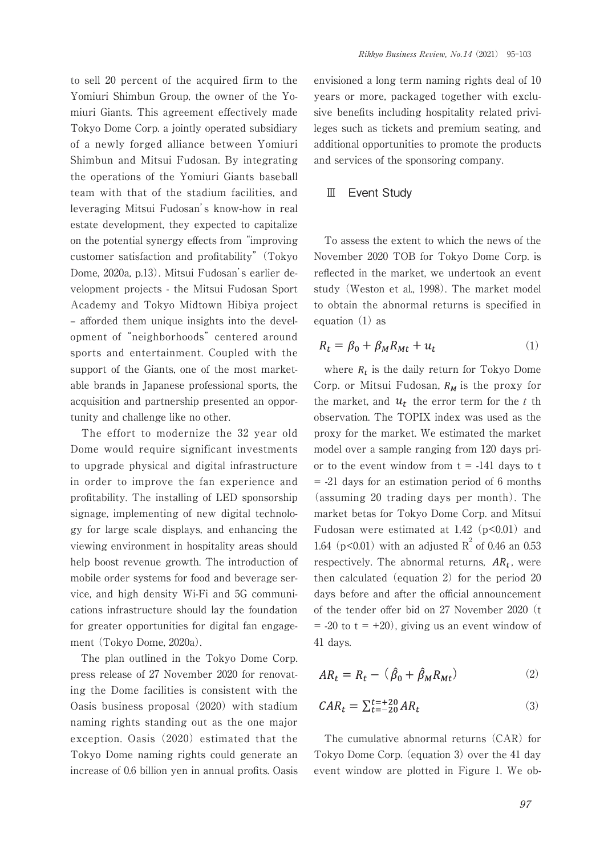to sell 20 percent of the acquired firm to the Yomiuri Shimbun Group, the owner of the Yomiuri Giants. This agreement effectively made Tokyo Dome Corp. a jointly operated subsidiary of a newly forged alliance between Yomiuri Shimbun and Mitsui Fudosan. By integrating the operations of the Yomiuri Giants baseball team with that of the stadium facilities, and leveraging Mitsui Fudosan's know-how in real estate development, they expected to capitalize on the potential synergy effects from "improving customer satisfaction and profitability" (Tokyo Dome, 2020a, p.13). Mitsui Fudosan's earlier development projects - the Mitsui Fudosan Sport Academy and Tokyo Midtown Hibiya project – afforded them unique insights into the development of "neighborhoods" centered around sports and entertainment. Coupled with the support of the Giants, one of the most marketable brands in Japanese professional sports, the acquisition and partnership presented an opportunity and challenge like no other.

The effort to modernize the 32 year old Dome would require significant investments to upgrade physical and digital infrastructure in order to improve the fan experience and profitability. The installing of LED sponsorship signage, implementing of new digital technology for large scale displays, and enhancing the viewing environment in hospitality areas should help boost revenue growth. The introduction of mobile order systems for food and beverage service, and high density Wi-Fi and 5G communications infrastructure should lay the foundation for greater opportunities for digital fan engagement (Tokyo Dome, 2020a).

The plan outlined in the Tokyo Dome Corp. press release of 27 November 2020 for renovating the Dome facilities is consistent with the Oasis business proposal (2020) with stadium naming rights standing out as the one major exception. Oasis (2020) estimated that the Tokyo Dome naming rights could generate an increase of 0.6 billion yen in annual profits. Oasis envisioned a long term naming rights deal of 10 years or more, packaged together with exclusive benefits including hospitality related privileges such as tickets and premium seating, and additional opportunities to promote the products and services of the sponsoring company.

## Ⅲ Event Study

To assess the extent to which the news of the November 2020 TOB for Tokyo Dome Corp. is reflected in the market, we undertook an event study (Weston et al., 1998). The market model to obtain the abnormal returns is specified in equation (1) as

$$
R_t = \beta_0 + \beta_M R_{Mt} + u_t \tag{1}
$$

where  $R_t$  is the daily return for Tokyo Dome Corp. or Mitsui Fudosan,  $R_M$  is the proxy for the market, and  $u_t$  the error term for the t th observation. The TOPIX index was used as the proxy for the market. We estimated the market model over a sample ranging from 120 days prior to the event window from  $t = -141$  days to t = -21 days for an estimation period of 6 months (assuming 20 trading days per month). The market betas for Tokyo Dome Corp. and Mitsui Fudosan were estimated at  $1.42$  ( $p<0.01$ ) and 1.64 ( $p < 0.01$ ) with an adjusted  $R^2$  of 0.46 an 0.53 respectively. The abnormal returns,  $AR_t$ , were then calculated (equation 2) for the period 20 days before and after the official announcement of the tender offer bid on 27 November 2020 (t  $= -20$  to  $t = +20$ , giving us an event window of 41 days.

$$
AR_t = R_t - (\hat{\beta}_0 + \hat{\beta}_M R_{Mt})
$$
 (2)

$$
CAR_t = \sum_{t=-20}^{t=+20} AR_t \tag{3}
$$

The cumulative abnormal returns (CAR) for Tokyo Dome Corp. (equation 3) over the 41 day event window are plotted in Figure 1. We ob-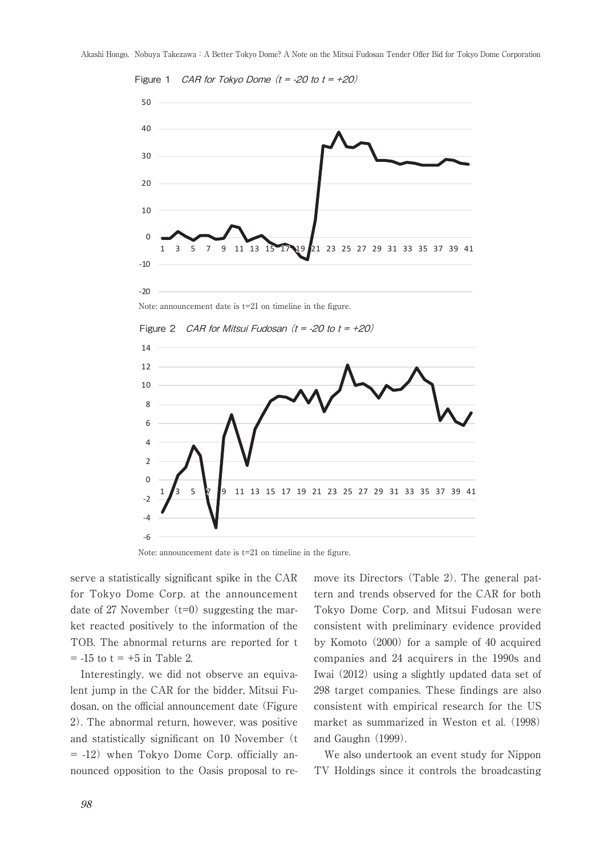

Figure 1 *CAR for Tokvo Dome*  $(t = -20$  *to*  $t = +20$ *)* 



Figure 2 *CAR for Mitsui Fudosan*  $(t = -20$  to  $t = +20$ )



Note: announcement date is t=21 on timeline in the figure.

serve a statistically significant spike in the CAR for Tokyo Dome Corp. at the announcement date of 27 November  $(t=0)$  suggesting the market reacted positively to the information of the TOB. The abnormal returns are reported for t  $= -15$  to  $t = +5$  in Table 2.

Interestingly, we did not observe an equivalent jump in the CAR for the bidder, Mitsui Fudosan, on the official announcement date (Figure 2). The abnormal return, however, was positive and statistically significant on 10 November (t = -12) when Tokyo Dome Corp. officially announced opposition to the Oasis proposal to remove its Directors (Table 2). The general pattern and trends observed for the CAR for both Tokyo Dome Corp. and Mitsui Fudosan were consistent with preliminary evidence provided by Komoto (2000) for a sample of 40 acquired companies and 24 acquirers in the 1990s and Iwai (2012) using a slightly updated data set of 298 target companies. These findings are also consistent with empirical research for the US market as summarized in Weston et al. (1998) and Gaughn (1999).

We also undertook an event study for Nippon TV Holdings since it controls the broadcasting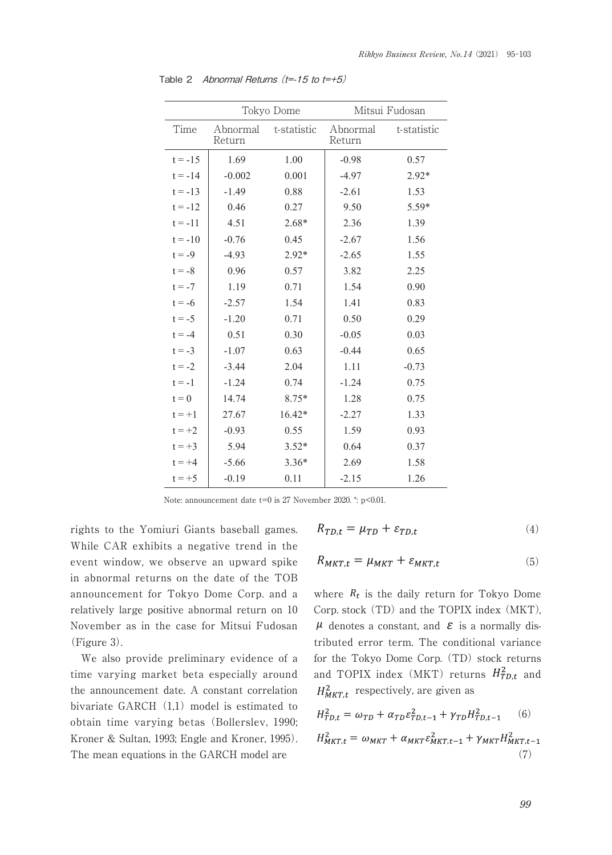|           |                    | Tokyo Dome  | Mitsui Fudosan     |             |
|-----------|--------------------|-------------|--------------------|-------------|
| Time      | Abnormal<br>Return | t-statistic | Abnormal<br>Return | t-statistic |
| $t = -15$ | 1.69               | 1.00        | $-0.98$            | 0.57        |
| $t = -14$ | $-0.002$           | 0.001       | $-4.97$            | $2.92*$     |
| $t = -13$ | $-1.49$            | 0.88        | $-2.61$            | 1.53        |
| $t = -12$ | 0.46               | 0.27        | 9.50               | $5.59*$     |
| $t = -11$ | 4.51               | $2.68*$     | 2.36               | 1.39        |
| $t = -10$ | $-0.76$            | 0.45        | $-2.67$            | 1.56        |
| $t = -9$  | $-4.93$            | $2.92*$     | $-2.65$            | 1.55        |
| $t = -8$  | 0.96               | 0.57        | 3.82               | 2.25        |
| $t = -7$  | 1.19               | 0.71        | 1.54               | 0.90        |
| $t = -6$  | $-2.57$            | 1.54        | 1.41               | 0.83        |
| $t = -5$  | $-1.20$            | 0.71        | 0.50               | 0.29        |
| $t = -4$  | 0.51               | 0.30        | $-0.05$            | 0.03        |
| $t = -3$  | $-1.07$            | 0.63        | $-0.44$            | 0.65        |
| $t = -2$  | $-3.44$            | 2.04        | 1.11               | $-0.73$     |
| $t = -1$  | $-1.24$            | 0.74        | $-1.24$            | 0.75        |
| $t = 0$   | 14.74              | $8.75*$     | 1.28               | 0.75        |
| $t = +1$  | 27.67              | 16.42*      | $-2.27$            | 1.33        |
| $t = +2$  | $-0.93$            | 0.55        | 1.59               | 0.93        |
| $t = +3$  | 5.94               | $3.52*$     | 0.64               | 0.37        |
| $t = +4$  | $-5.66$            | $3.36*$     | 2.69               | 1.58        |
| $t = +5$  | $-0.19$            | 0.11        | $-2.15$            | 1.26        |

Table 2 Abnormal Returns  $(t=15$  to  $t=+5)$ 

Note: announcement date  $t=0$  is 27 November 2020. \*: p<0.01.

rights to the Yomiuri Giants baseball games. While CAR exhibits a negative trend in the event window, we observe an upward spike in abnormal returns on the date of the TOB announcement for Tokyo Dome Corp. and a relatively large positive abnormal return on 10 November as in the case for Mitsui Fudosan (Figure 3).

We also provide preliminary evidence of a time varying market beta especially around the announcement date. A constant correlation bivariate GARCH $(1,1)$  model is estimated to obtain time varying betas (Bollerslev, 1990; Kroner & Sultan, 1993; Engle and Kroner, 1995). The mean equations in the GARCH model are

$$
R_{TD,t} = \mu_{TD} + \varepsilon_{TD,t} \tag{4}
$$

$$
R_{MKT,t} = \mu_{MKT} + \varepsilon_{MKT,t} \tag{5}
$$

where  $R_t$  is the daily return for Tokyo Dome Corp. stock (TD) and the TOPIX index (MKT),  $\mu$  denotes a constant, and  $\epsilon$  is a normally distributed error term. The conditional variance for the Tokyo Dome Corp. (TD) stock returns and TOPIX index (MKT) returns  $H_{TD,t}^2$  and  $H_{MKT,t}^2$  respectively, are given as

$$
H_{TD,t}^{2} = \omega_{TD} + \alpha_{TD}\varepsilon_{TD,t-1}^{2} + \gamma_{TD}H_{TD,t-1}^{2}
$$
 (6)  

$$
H_{MKT,t}^{2} = \omega_{MKT} + \alpha_{MKT}\varepsilon_{MKT,t-1}^{2} + \gamma_{MKT}H_{MKT,t-1}^{2}
$$
(7)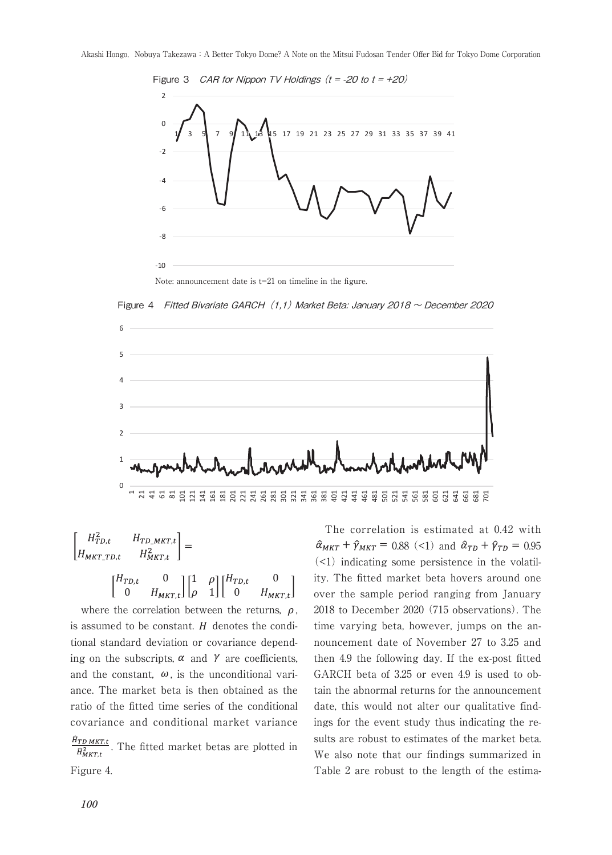

Figure 4 Fitted Bivariate GARCH (1,1) Market Beta: January 2018  $\sim$  December 2020



$$
\begin{bmatrix} H_{TD,t}^2 & H_{TD\_MKT,t} \\ H_{MKT\_TD,t} & H_{MKT,t}^2 \end{bmatrix} =
$$
\n
$$
\begin{bmatrix} H_{TD,t} & 0 \\ 0 & H_{MKT,t} \end{bmatrix} \begin{bmatrix} 1 & \rho \\ \rho & 1 \end{bmatrix} \begin{bmatrix} H_{TD,t} & 0 \\ 0 & H_{MKT,t} \end{bmatrix}
$$

0  $H_{MKT,t}$ ] [ $\rho$  1] [ 0  $H_{MKT}$ 

where the correlation between the returns,  $\rho$ . is assumed to be constant.  $H$  denotes the conditional standard deviation or covariance depending on the subscripts,  $\alpha$  and  $\gamma$  are coefficients, and the constant,  $\omega$ , is the unconditional variance. The market beta is then obtained as the ratio of the fitted time series of the conditional covariance and conditional market variance ,  $\sum_{i,t}$ . The fitted market betas are plotted in Figure 4.

 $\hat{\gamma}_{MKT}$  +  $\hat{\gamma}_{MKT}$  = 0.88 (<1) and  $\hat{\alpha}_{TD}$  +  $\hat{\gamma}_{TD}$  = 0.95  $\left($  <1) indicating some persistence in the volatil-The correlation is estimated at 0.42 with ity. The fitted market beta hovers around one over the sample period ranging from January 2018 to December 2020 (715 observations). The time varying beta, however, jumps on the announcement date of November 27 to 3.25 and then 4.9 the following day. If the ex-post fitted GARCH beta of 3.25 or even 4.9 is used to obtain the abnormal returns for the announcement date, this would not alter our qualitative findings for the event study thus indicating the results are robust to estimates of the market beta. We also note that our findings summarized in Table 2 are robust to the length of the estima-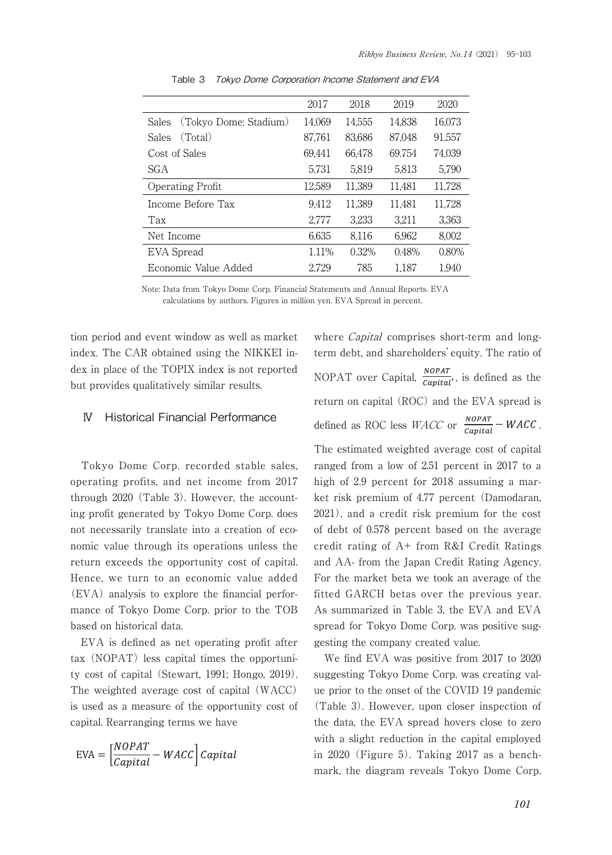| 2017   | 2018   | 2019   | 2020                       |
|--------|--------|--------|----------------------------|
| 14.069 | 14.555 |        | 16,073                     |
| 87.761 | 83.686 |        | 91.557                     |
| 69.441 | 66.478 |        | 74.039                     |
| 5,731  | 5.819  | 5.813  | 5.790                      |
| 12,589 | 11,389 | 11,481 | 11,728                     |
| 9.412  | 11.389 | 11.481 | 11.728                     |
| 2.777  | 3.233  | 3.211  | 3.363                      |
| 6.635  | 8.116  | 6.962  | 8.002                      |
| 1.11%  | 0.32%  | 0.48%  | 0.80%                      |
| 2,729  | 785    | 1,187  | 1.940                      |
|        |        |        | 14.838<br>87.048<br>69.754 |

Table 3 Tokyo Dome Corporation Income Statement and EVA

Note: Data from Tokyo Dome Corp. Financial Statements and Annual Reports. EVA calculations by authors. Figures in million yen. EVA Spread in percent.

tion period and event window as well as market index. The CAR obtained using the NIKKEI index in place of the TOPIX index is not reported but provides qualitatively similar results.

## Ⅳ Historical Financial Performance

Tokyo Dome Corp. recorded stable sales, operating profits, and net income from 2017 through 2020 (Table 3). However, the accounting profit generated by Tokyo Dome Corp. does not necessarily translate into a creation of economic value through its operations unless the return exceeds the opportunity cost of capital. Hence, we turn to an economic value added (EVA) analysis to explore the financial performance of Tokyo Dome Corp. prior to the TOB based on historical data.

EVA is defined as net operating profit after tax (NOPAT) less capital times the opportunity cost of capital (Stewart, 1991; Hongo, 2019). The weighted average cost of capital (WACC) is used as a measure of the opportunity cost of capital. Rearranging terms we have

$$
EVA = \left[\frac{NOPATH}{Capital} - WACC\right] Capital
$$

where *Capital* comprises short-term and longterm debt, and shareholders'equity. The ratio of NOPAT over Capital,  $\frac{NOPATH}{Canital}$ , is defined as the return on capital (ROC) and the EVA spread is defined as ROC less  $WACC$  or  $\frac{NOPAT}{Canital} - WACC$ .

The estimated weighted average cost of capital ranged from a low of 2.51 percent in 2017 to a high of 2.9 percent for 2018 assuming a market risk premium of 4.77 percent (Damodaran, 2021), and a credit risk premium for the cost of debt of 0.578 percent based on the average credit rating of A+ from R&I Credit Ratings and AA- from the Japan Credit Rating Agency. For the market beta we took an average of the fitted GARCH betas over the previous year. As summarized in Table 3, the EVA and EVA spread for Tokyo Dome Corp. was positive suggesting the company created value.

We find EVA was positive from 2017 to 2020 suggesting Tokyo Dome Corp. was creating value prior to the onset of the COVID 19 pandemic (Table 3). However, upon closer inspection of the data, the EVA spread hovers close to zero with a slight reduction in the capital employed in 2020 (Figure 5). Taking 2017 as a benchmark, the diagram reveals Tokyo Dome Corp.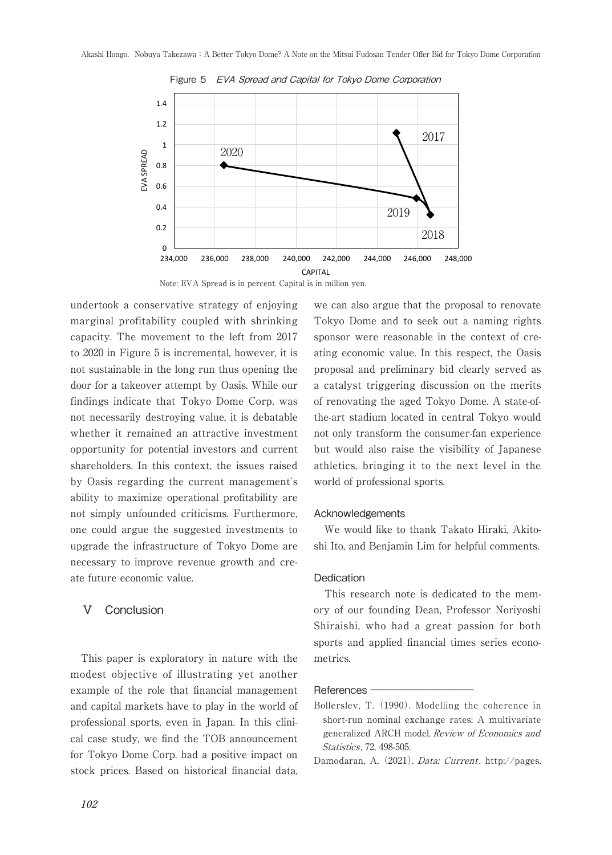

Figure 5 EVA Spread and Capital for Tokyo Dome Corporation



undertook a conservative strategy of enjoying marginal profitability coupled with shrinking capacity. The movement to the left from 2017 to 2020 in Figure 5 is incremental, however, it is not sustainable in the long run thus opening the door for a takeover attempt by Oasis. While our findings indicate that Tokyo Dome Corp. was not necessarily destroying value, it is debatable whether it remained an attractive investment opportunity for potential investors and current shareholders. In this context, the issues raised by Oasis regarding the current management`s ability to maximize operational profitability are not simply unfounded criticisms. Furthermore, one could argue the suggested investments to upgrade the infrastructure of Tokyo Dome are necessary to improve revenue growth and create future economic value.

## Ⅴ Conclusion

This paper is exploratory in nature with the modest objective of illustrating yet another example of the role that financial management and capital markets have to play in the world of professional sports, even in Japan. In this clinical case study, we find the TOB announcement for Tokyo Dome Corp. had a positive impact on stock prices. Based on historical financial data, we can also argue that the proposal to renovate Tokyo Dome and to seek out a naming rights sponsor were reasonable in the context of creating economic value. In this respect, the Oasis proposal and preliminary bid clearly served as a catalyst triggering discussion on the merits of renovating the aged Tokyo Dome. A state-ofthe-art stadium located in central Tokyo would not only transform the consumer-fan experience but would also raise the visibility of Japanese athletics, bringing it to the next level in the world of professional sports.

#### Acknowledgements

We would like to thank Takato Hiraki, Akitoshi Ito, and Benjamin Lim for helpful comments.

#### **Dedication**

This research note is dedicated to the memory of our founding Dean, Professor Noriyoshi Shiraishi, who had a great passion for both sports and applied financial times series econometrics.

#### References –

Bollerslev, T. (1990). Modelling the coherence in short-run nominal exchange rates: A multivariate generalized ARCH model. Review of Economics and Statistics , 72, 498-505.

Damodaran, A. (2021). *Data: Current*. http://pages.